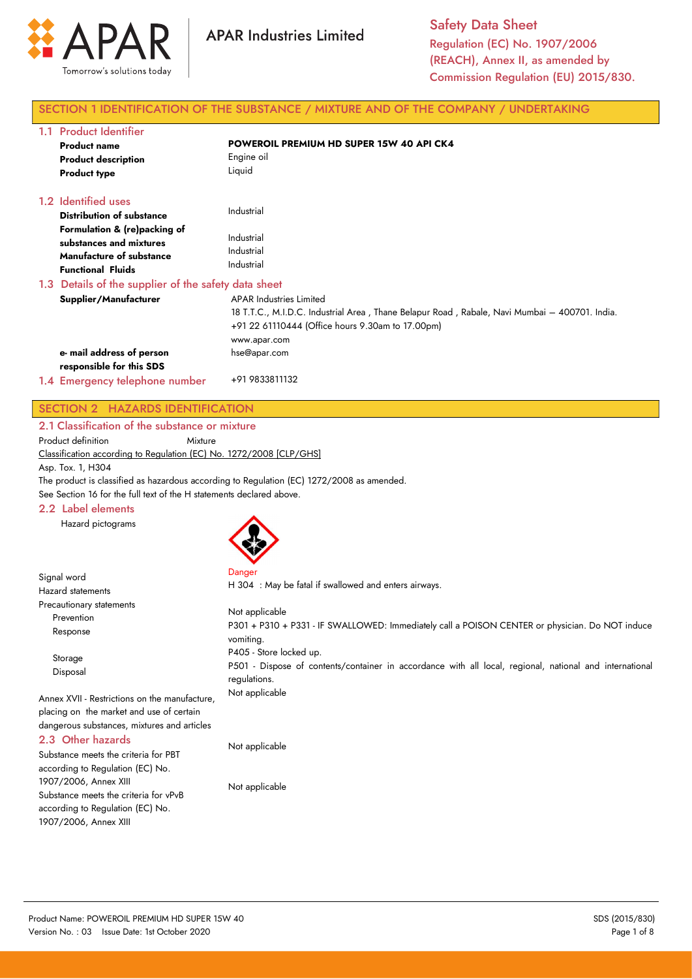

Safety Data Sheet Regulation (EC) No. 1907/2006 (REACH), Annex II, as amended by Commission Regulation (EU) 2015/830.

## SECTION 1 IDENTIFICATION OF THE SUBSTANCE / MIXTURE AND OF THE COMPANY / UNDERTAKING

| 1.1 | <b>Product Identifier</b>                                                                                       |                                                                                                                                                                                              |
|-----|-----------------------------------------------------------------------------------------------------------------|----------------------------------------------------------------------------------------------------------------------------------------------------------------------------------------------|
|     | <b>Product name</b>                                                                                             | <b>POWEROIL PREMIUM HD SUPER 15W 40 API CK4</b>                                                                                                                                              |
|     | <b>Product description</b>                                                                                      | Engine oil                                                                                                                                                                                   |
|     | <b>Product type</b>                                                                                             | Liquid                                                                                                                                                                                       |
|     | 1.2 Identified uses                                                                                             |                                                                                                                                                                                              |
|     | <b>Distribution of substance</b>                                                                                | Industrial                                                                                                                                                                                   |
|     | Formulation & (re)packing of<br>substances and mixtures<br>Manufacture of substance<br><b>Functional Fluids</b> | Industrial<br>Industrial<br>Industrial                                                                                                                                                       |
|     | 1.3 Details of the supplier of the safety data sheet                                                            |                                                                                                                                                                                              |
|     | Supplier/Manufacturer                                                                                           | APAR Industries Limited<br>18 T.T.C., M.I.D.C. Industrial Area, Thane Belapur Road, Rabale, Navi Mumbai – 400701. India.<br>+91 22 61110444 (Office hours 9.30am to 17.00pm)<br>www.apar.com |
|     | e- mail address of person                                                                                       | hse@apar.com                                                                                                                                                                                 |
|     | responsible for this SDS                                                                                        |                                                                                                                                                                                              |
|     | 1.4 Emergency telephone number                                                                                  | +91 9833811132                                                                                                                                                                               |

# SECTION 2 HAZARDS IDENTIFICATION

2.1 Classification of the substance or mixture

Product definition Mixture

Classification according to Regulation (EC) No. 1272/2008 [CLP/GHS]

Asp. Tox. 1, H304

Signal word

The product is classified as hazardous according to Regulation (EC) 1272/2008 as amended.

See Section 16 for the full text of the H statements declared above.

### 2.2 Label elements

Hazard pictograms



Danger H 304 : May be fatal if swallowed and enters airways.

| <b>Hazard statements</b>                                                                                                                 | TT JU4. Pridy De Talal II SWAIIOWED and Emers all ways.                                                                                            |
|------------------------------------------------------------------------------------------------------------------------------------------|----------------------------------------------------------------------------------------------------------------------------------------------------|
| Precautionary statements<br>Prevention<br>Response                                                                                       | Not applicable<br>P301 + P310 + P331 - IF SWALLOWED: Immediately call a POISON CENTER or physician. Do NOT induce<br>vomiting.                     |
| Storage<br>Disposal                                                                                                                      | P405 - Store locked up.<br>P501 - Dispose of contents/container in accordance with all local, regional, national and international<br>regulations. |
| Annex XVII - Restrictions on the manufacture,<br>placing on the market and use of certain<br>dangerous substances, mixtures and articles | Not applicable                                                                                                                                     |
| 2.3 Other hazards<br>Substance meets the criteria for PBT<br>according to Requision (EC) No                                              | Not applicable                                                                                                                                     |

according to Regulation (EC) No. 1907/2006, Annex XIII Substance meets the criteria for vPvB according to Regulation (EC) No. 1907/2006, Annex XIII

Not applicable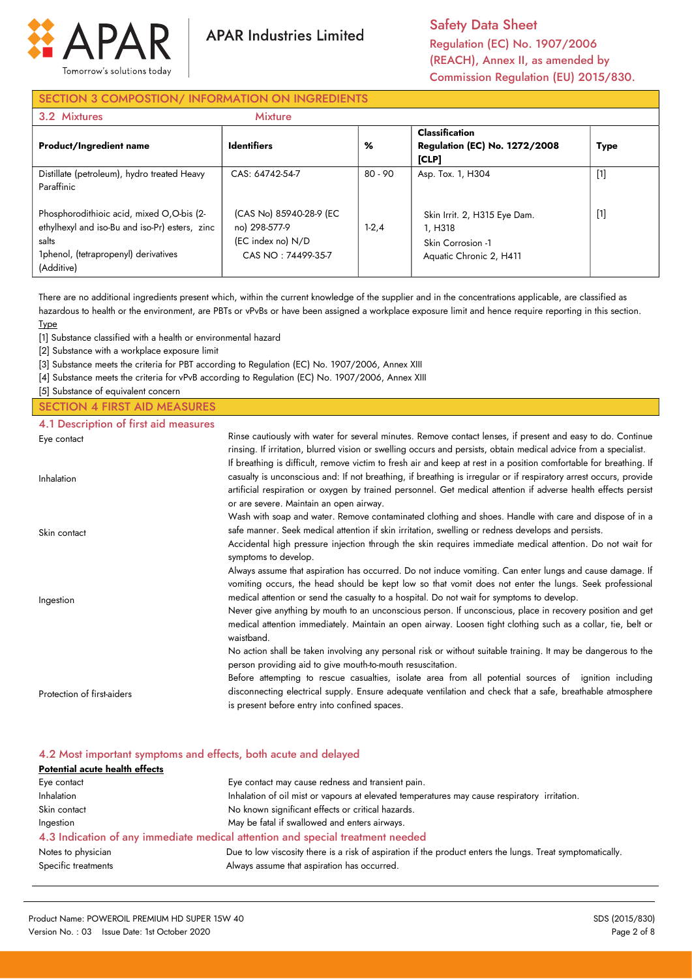

Safety Data Sheet Regulation (EC) No. 1907/2006 (REACH), Annex II, as amended by Commission Regulation (EU) 2015/830.

## SECTION 3 COMPOSTION/ INFORMATION ON INGREDIENTS

| 3.2 Mixtures                                                                                                                                               | <b>Mixture</b>                                                                      |           |                                                                                         |       |
|------------------------------------------------------------------------------------------------------------------------------------------------------------|-------------------------------------------------------------------------------------|-----------|-----------------------------------------------------------------------------------------|-------|
| <b>Product/Ingredient name</b>                                                                                                                             | <b>Identifiers</b>                                                                  | %         | <b>Classification</b><br><b>Regulation (EC) No. 1272/2008</b><br>[CLP]                  | Type  |
| Distillate (petroleum), hydro treated Heavy<br>Paraffinic                                                                                                  | CAS: 64742-54-7                                                                     | $80 - 90$ | Asp. Tox. 1, H304                                                                       | $[1]$ |
| Phosphorodithioic acid, mixed O,O-bis (2-<br>ethylhexyl and iso-Bu and iso-Pr) esters, zinc<br>salts<br>1phenol, (tetrapropenyl) derivatives<br>(Additive) | (CAS No) 85940-28-9 (EC<br>no) 298-577-9<br>(EC index no) N/D<br>CAS NO: 74499-35-7 | $1-2,4$   | Skin Irrit. 2, H315 Eye Dam.<br>1. H318<br>Skin Corrosion -1<br>Aquatic Chronic 2, H411 | $[1]$ |

There are no additional ingredients present which, within the current knowledge of the supplier and in the concentrations applicable, are classified as hazardous to health or the environment, are PBTs or vPvBs or have been assigned a workplace exposure limit and hence require reporting in this section. **Type** 

[1] Substance classified with a health or environmental hazard

[2] Substance with a workplace exposure limit

[3] Substance meets the criteria for PBT according to Regulation (EC) No. 1907/2006, Annex XIII

[4] Substance meets the criteria for vPvB according to Regulation (EC) No. 1907/2006, Annex XIII

[5] Substance of equivalent concern

## SECTION 4 FIRST AID MEASURES

4.1 Description of first aid measures

| Eye contact                | Rinse cautiously with water for several minutes. Remove contact lenses, if present and easy to do. Continue<br>rinsing. If irritation, blurred vision or swelling occurs and persists, obtain medical advice from a specialist.                                                                                                                                                                      |
|----------------------------|------------------------------------------------------------------------------------------------------------------------------------------------------------------------------------------------------------------------------------------------------------------------------------------------------------------------------------------------------------------------------------------------------|
| Inhalation                 | If breathing is difficult, remove victim to fresh air and keep at rest in a position comfortable for breathing. If<br>casualty is unconscious and: If not breathing, if breathing is irregular or if respiratory arrest occurs, provide<br>artificial respiration or oxygen by trained personnel. Get medical attention if adverse health effects persist<br>or are severe. Maintain an open airway. |
|                            | Wash with soap and water. Remove contaminated clothing and shoes. Handle with care and dispose of in a<br>safe manner. Seek medical attention if skin irritation, swelling or redness develops and persists.                                                                                                                                                                                         |
| Skin contact               | Accidental high pressure injection through the skin requires immediate medical attention. Do not wait for<br>symptoms to develop.                                                                                                                                                                                                                                                                    |
| Ingestion                  | Always assume that aspiration has occurred. Do not induce vomiting. Can enter lungs and cause damage. If<br>vomiting occurs, the head should be kept low so that vomit does not enter the lungs. Seek professional<br>medical attention or send the casualty to a hospital. Do not wait for symptoms to develop.                                                                                     |
|                            | Never give anything by mouth to an unconscious person. If unconscious, place in recovery position and get<br>medical attention immediately. Maintain an open airway. Loosen tight clothing such as a collar, tie, belt or<br>waistband.                                                                                                                                                              |
|                            | No action shall be taken involving any personal risk or without suitable training. It may be dangerous to the<br>person providing aid to give mouth-to-mouth resuscitation.                                                                                                                                                                                                                          |
| Protection of first-aiders | Before attempting to rescue casualties, isolate area from all potential sources of ignition including<br>disconnecting electrical supply. Ensure adequate ventilation and check that a safe, breathable atmosphere<br>is present before entry into confined spaces.                                                                                                                                  |

| 4.2 Most important symptoms and effects, both acute and delayed                                            |  |  |  |
|------------------------------------------------------------------------------------------------------------|--|--|--|
| Potential acute health effects                                                                             |  |  |  |
|                                                                                                            |  |  |  |
| Inhalation of oil mist or vapours at elevated temperatures may cause respiratory irritation.               |  |  |  |
|                                                                                                            |  |  |  |
|                                                                                                            |  |  |  |
| 4.3 Indication of any immediate medical attention and special treatment needed                             |  |  |  |
| Due to low viscosity there is a risk of aspiration if the product enters the lungs. Treat symptomatically. |  |  |  |
|                                                                                                            |  |  |  |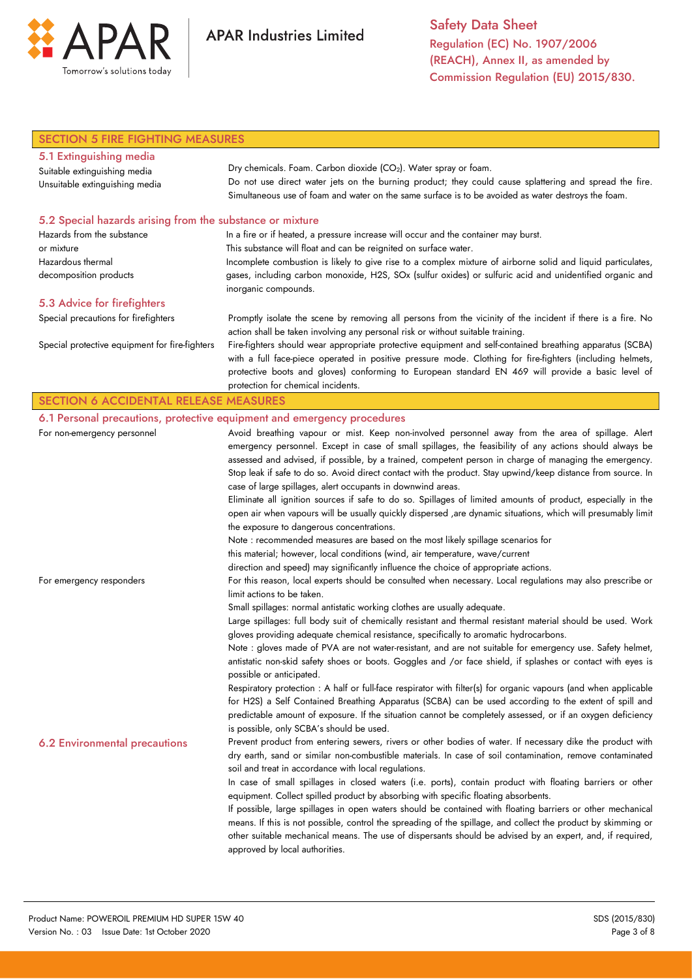

Safety Data Sheet Regulation (EC) No. 1907/2006 (REACH), Annex II, as amended by Commission Regulation (EU) 2015/830.

| <b>SECTION 5 FIRE FIGHTING MEASURES</b>                   |                                                                                                                                                                                                                          |  |
|-----------------------------------------------------------|--------------------------------------------------------------------------------------------------------------------------------------------------------------------------------------------------------------------------|--|
| 5.1 Extinguishing media                                   |                                                                                                                                                                                                                          |  |
| Suitable extinguishing media                              | Dry chemicals. Foam. Carbon dioxide (CO <sub>2</sub> ). Water spray or foam.                                                                                                                                             |  |
| Unsuitable extinguishing media                            | Do not use direct water jets on the burning product; they could cause splattering and spread the fire.                                                                                                                   |  |
|                                                           | Simultaneous use of foam and water on the same surface is to be avoided as water destroys the foam.                                                                                                                      |  |
| 5.2 Special hazards arising from the substance or mixture |                                                                                                                                                                                                                          |  |
| Hazards from the substance                                | In a fire or if heated, a pressure increase will occur and the container may burst.                                                                                                                                      |  |
| or mixture                                                | This substance will float and can be reignited on surface water.                                                                                                                                                         |  |
| Hazardous thermal                                         | Incomplete combustion is likely to give rise to a complex mixture of airborne solid and liquid particulates,                                                                                                             |  |
| decomposition products                                    | gases, including carbon monoxide, H2S, SOx (sulfur oxides) or sulfuric acid and unidentified organic and<br>inorganic compounds.                                                                                         |  |
| 5.3 Advice for firefighters                               |                                                                                                                                                                                                                          |  |
| Special precautions for firefighters                      | Promptly isolate the scene by removing all persons from the vicinity of the incident if there is a fire. No                                                                                                              |  |
|                                                           | action shall be taken involving any personal risk or without suitable training.                                                                                                                                          |  |
| Special protective equipment for fire-fighters            | Fire-fighters should wear appropriate protective equipment and self-contained breathing apparatus (SCBA)                                                                                                                 |  |
|                                                           | with a full face-piece operated in positive pressure mode. Clothing for fire-fighters (including helmets,                                                                                                                |  |
|                                                           | protective boots and gloves) conforming to European standard EN 469 will provide a basic level of                                                                                                                        |  |
|                                                           | protection for chemical incidents.                                                                                                                                                                                       |  |
| <b>SECTION 6 ACCIDENTAL RELEASE MEASURES</b>              |                                                                                                                                                                                                                          |  |
|                                                           | 6.1 Personal precautions, protective equipment and emergency procedures                                                                                                                                                  |  |
| For non-emergency personnel                               | Avoid breathing vapour or mist. Keep non-involved personnel away from the area of spillage. Alert                                                                                                                        |  |
|                                                           | emergency personnel. Except in case of small spillages, the feasibility of any actions should always be                                                                                                                  |  |
|                                                           | assessed and advised, if possible, by a trained, competent person in charge of managing the emergency.                                                                                                                   |  |
|                                                           | Stop leak if safe to do so. Avoid direct contact with the product. Stay upwind/keep distance from source. In                                                                                                             |  |
|                                                           | case of large spillages, alert occupants in downwind areas.<br>Eliminate all ignition sources if safe to do so. Spillages of limited amounts of product, especially in the                                               |  |
|                                                           | open air when vapours will be usually quickly dispersed , are dynamic situations, which will presumably limit                                                                                                            |  |
|                                                           | the exposure to dangerous concentrations.                                                                                                                                                                                |  |
|                                                           | Note : recommended measures are based on the most likely spillage scenarios for                                                                                                                                          |  |
|                                                           | this material; however, local conditions (wind, air temperature, wave/current                                                                                                                                            |  |
|                                                           | direction and speed) may significantly influence the choice of appropriate actions.                                                                                                                                      |  |
| For emergency responders                                  | For this reason, local experts should be consulted when necessary. Local regulations may also prescribe or                                                                                                               |  |
|                                                           | limit actions to be taken.                                                                                                                                                                                               |  |
|                                                           | Small spillages: normal antistatic working clothes are usually adequate.                                                                                                                                                 |  |
|                                                           | Large spillages: full body suit of chemically resistant and thermal resistant material should be used. Work                                                                                                              |  |
|                                                           | gloves providing adequate chemical resistance, specifically to aromatic hydrocarbons.                                                                                                                                    |  |
|                                                           | Note : gloves made of PVA are not water-resistant, and are not suitable for emergency use. Safety helmet,                                                                                                                |  |
|                                                           | antistatic non-skid safety shoes or boots. Goggles and /or face shield, if splashes or contact with eyes is                                                                                                              |  |
|                                                           | possible or anticipated.                                                                                                                                                                                                 |  |
|                                                           | Respiratory protection : A half or full-face respirator with filter(s) for organic vapours (and when applicable<br>for H2S) a Self Contained Breathing Apparatus (SCBA) can be used according to the extent of spill and |  |
|                                                           | predictable amount of exposure. If the situation cannot be completely assessed, or if an oxygen deficiency                                                                                                               |  |
|                                                           | is possible, only SCBA's should be used.                                                                                                                                                                                 |  |
|                                                           | Prevent product from entering sewers, rivers or other bodies of water. If necessary dike the product with                                                                                                                |  |
| <b>6.2 Environmental precautions</b>                      | dry earth, sand or similar non-combustible materials. In case of soil contamination, remove contaminated                                                                                                                 |  |
|                                                           | soil and treat in accordance with local regulations.                                                                                                                                                                     |  |
|                                                           | In case of small spillages in closed waters (i.e. ports), contain product with floating barriers or other                                                                                                                |  |
|                                                           | equipment. Collect spilled product by absorbing with specific floating absorbents.                                                                                                                                       |  |
|                                                           | If possible, large spillages in open waters should be contained with floating barriers or other mechanical                                                                                                               |  |
|                                                           | means. If this is not possible, control the spreading of the spillage, and collect the product by skimming or                                                                                                            |  |
|                                                           | other suitable mechanical means. The use of dispersants should be advised by an expert, and, if required,                                                                                                                |  |
|                                                           | approved by local authorities.                                                                                                                                                                                           |  |
|                                                           |                                                                                                                                                                                                                          |  |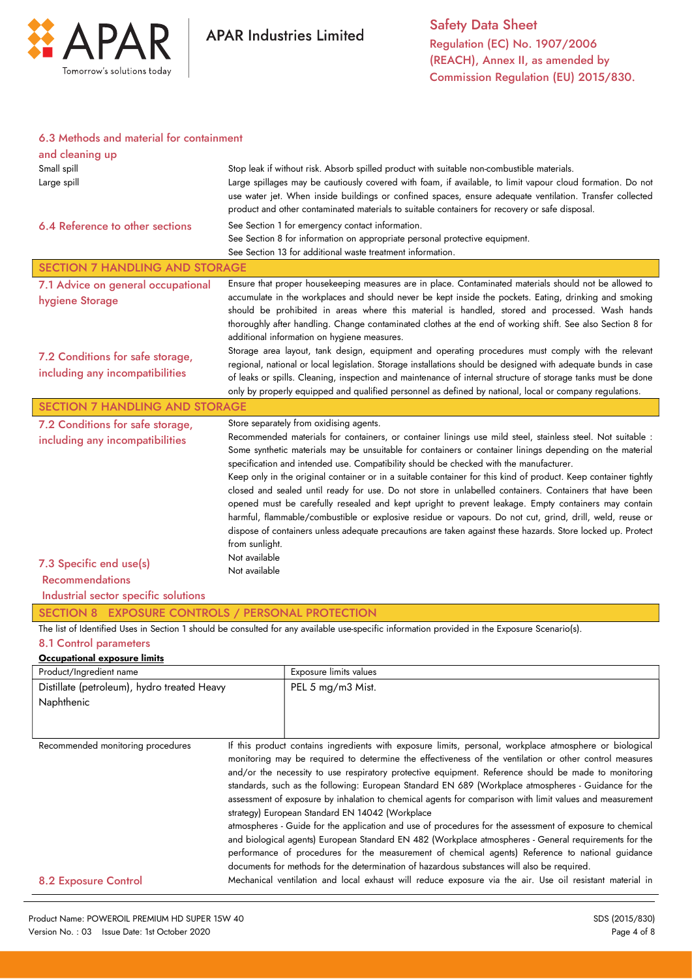

### 6.3 Methods and material for containment

| and cleaning up<br>Small spill<br>Large spill<br>6.4 Reference to other sections                                                                                                                                      |                                                  | Stop leak if without risk. Absorb spilled product with suitable non-combustible materials.<br>Large spillages may be cautiously covered with foam, if available, to limit vapour cloud formation. Do not<br>use water jet. When inside buildings or confined spaces, ensure adequate ventilation. Transfer collected<br>product and other contaminated materials to suitable containers for recovery or safe disposal.<br>See Section 1 for emergency contact information.<br>See Section 8 for information on appropriate personal protective equipment.<br>See Section 13 for additional waste treatment information.                                                                                                                                                                                                                                                                                                                                                                                                                                                                                                             |
|-----------------------------------------------------------------------------------------------------------------------------------------------------------------------------------------------------------------------|--------------------------------------------------|-------------------------------------------------------------------------------------------------------------------------------------------------------------------------------------------------------------------------------------------------------------------------------------------------------------------------------------------------------------------------------------------------------------------------------------------------------------------------------------------------------------------------------------------------------------------------------------------------------------------------------------------------------------------------------------------------------------------------------------------------------------------------------------------------------------------------------------------------------------------------------------------------------------------------------------------------------------------------------------------------------------------------------------------------------------------------------------------------------------------------------------|
| <b>SECTION 7 HANDLING AND STORAGE</b>                                                                                                                                                                                 |                                                  |                                                                                                                                                                                                                                                                                                                                                                                                                                                                                                                                                                                                                                                                                                                                                                                                                                                                                                                                                                                                                                                                                                                                     |
| 7.1 Advice on general occupational<br>hygiene Storage                                                                                                                                                                 |                                                  | Ensure that proper housekeeping measures are in place. Contaminated materials should not be allowed to<br>accumulate in the workplaces and should never be kept inside the pockets. Eating, drinking and smoking<br>should be prohibited in areas where this material is handled, stored and processed. Wash hands<br>thoroughly after handling. Change contaminated clothes at the end of working shift. See also Section 8 for<br>additional information on hygiene measures.                                                                                                                                                                                                                                                                                                                                                                                                                                                                                                                                                                                                                                                     |
| 7.2 Conditions for safe storage,<br>including any incompatibilities                                                                                                                                                   |                                                  | Storage area layout, tank design, equipment and operating procedures must comply with the relevant<br>regional, national or local legislation. Storage installations should be designed with adequate bunds in case<br>of leaks or spills. Cleaning, inspection and maintenance of internal structure of storage tanks must be done<br>only by properly equipped and qualified personnel as defined by national, local or company regulations.                                                                                                                                                                                                                                                                                                                                                                                                                                                                                                                                                                                                                                                                                      |
| <b>SECTION 7 HANDLING AND STORAGE</b>                                                                                                                                                                                 |                                                  |                                                                                                                                                                                                                                                                                                                                                                                                                                                                                                                                                                                                                                                                                                                                                                                                                                                                                                                                                                                                                                                                                                                                     |
| 7.2 Conditions for safe storage,<br>including any incompatibilities<br>7.3 Specific end use(s)<br><b>Recommendations</b><br>Industrial sector specific solutions<br>SECTION 8 EXPOSURE CONTROLS / PERSONAL PROTECTION | from sunlight.<br>Not available<br>Not available | Store separately from oxidising agents.<br>Recommended materials for containers, or container linings use mild steel, stainless steel. Not suitable :<br>Some synthetic materials may be unsuitable for containers or container linings depending on the material<br>specification and intended use. Compatibility should be checked with the manufacturer.<br>Keep only in the original container or in a suitable container for this kind of product. Keep container tightly<br>closed and sealed until ready for use. Do not store in unlabelled containers. Containers that have been<br>opened must be carefully resealed and kept upright to prevent leakage. Empty containers may contain<br>harmful, flammable/combustible or explosive residue or vapours. Do not cut, grind, drill, weld, reuse or<br>dispose of containers unless adequate precautions are taken against these hazards. Store locked up. Protect<br>The list of Identified Uses in Section 1 should be consulted for any available use-specific information provided in the Exposure Scenario(s).                                                        |
| 8.1 Control parameters                                                                                                                                                                                                |                                                  |                                                                                                                                                                                                                                                                                                                                                                                                                                                                                                                                                                                                                                                                                                                                                                                                                                                                                                                                                                                                                                                                                                                                     |
| Occupational exposure limits                                                                                                                                                                                          |                                                  |                                                                                                                                                                                                                                                                                                                                                                                                                                                                                                                                                                                                                                                                                                                                                                                                                                                                                                                                                                                                                                                                                                                                     |
| Product/Ingredient name<br>Distillate (petroleum), hydro treated Heavy                                                                                                                                                |                                                  | Exposure limits values<br>PEL 5 mg/m3 Mist.                                                                                                                                                                                                                                                                                                                                                                                                                                                                                                                                                                                                                                                                                                                                                                                                                                                                                                                                                                                                                                                                                         |
| Naphthenic                                                                                                                                                                                                            |                                                  |                                                                                                                                                                                                                                                                                                                                                                                                                                                                                                                                                                                                                                                                                                                                                                                                                                                                                                                                                                                                                                                                                                                                     |
| Recommended monitoring procedures<br><b>8.2 Exposure Control</b>                                                                                                                                                      |                                                  | If this product contains ingredients with exposure limits, personal, workplace atmosphere or biological<br>monitoring may be required to determine the effectiveness of the ventilation or other control measures<br>and/or the necessity to use respiratory protective equipment. Reference should be made to monitoring<br>standards, such as the following: European Standard EN 689 (Workplace atmospheres - Guidance for the<br>assessment of exposure by inhalation to chemical agents for comparison with limit values and measurement<br>strategy) European Standard EN 14042 (Workplace<br>atmospheres - Guide for the application and use of procedures for the assessment of exposure to chemical<br>and biological agents) European Standard EN 482 (Workplace atmospheres - General requirements for the<br>performance of procedures for the measurement of chemical agents) Reference to national guidance<br>documents for methods for the determination of hazardous substances will also be required.<br>Mechanical ventilation and local exhaust will reduce exposure via the air. Use oil resistant material in |
|                                                                                                                                                                                                                       |                                                  |                                                                                                                                                                                                                                                                                                                                                                                                                                                                                                                                                                                                                                                                                                                                                                                                                                                                                                                                                                                                                                                                                                                                     |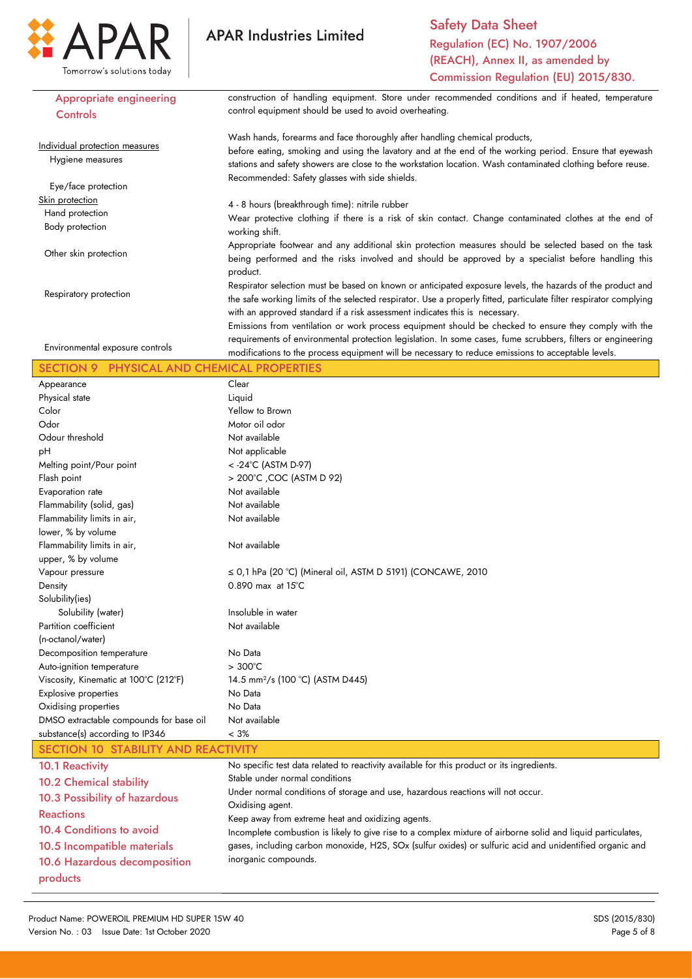

Safety Data Sheet Regulation (EC) No. 1907/2006 (REACH), Annex II, as amended by Commission Regulation (EU) 2015/830.

| <b>Appropriate engineering</b>             | construction of handling equipment. Store under recommended conditions and if heated, temperature                  |
|--------------------------------------------|--------------------------------------------------------------------------------------------------------------------|
| Controls                                   | control equipment should be used to avoid overheating.                                                             |
|                                            |                                                                                                                    |
| Individual protection measures             | Wash hands, forearms and face thoroughly after handling chemical products,                                         |
| Hygiene measures                           | before eating, smoking and using the lavatory and at the end of the working period. Ensure that eyewash            |
|                                            | stations and safety showers are close to the workstation location. Wash contaminated clothing before reuse.        |
| Eye/face protection                        | Recommended: Safety glasses with side shields.                                                                     |
| Skin protection                            |                                                                                                                    |
| Hand protection                            | 4 - 8 hours (breakthrough time): nitrile rubber                                                                    |
| Body protection                            | Wear protective clothing if there is a risk of skin contact. Change contaminated clothes at the end of             |
|                                            | working shift.                                                                                                     |
| Other skin protection                      | Appropriate footwear and any additional skin protection measures should be selected based on the task              |
|                                            | being performed and the risks involved and should be approved by a specialist before handling this                 |
|                                            | product.                                                                                                           |
| Respiratory protection                     | Respirator selection must be based on known or anticipated exposure levels, the hazards of the product and         |
|                                            | the safe working limits of the selected respirator. Use a properly fitted, particulate filter respirator complying |
|                                            | with an approved standard if a risk assessment indicates this is necessary.                                        |
|                                            | Emissions from ventilation or work process equipment should be checked to ensure they comply with the              |
| Environmental exposure controls            | requirements of environmental protection legislation. In some cases, fume scrubbers, filters or engineering        |
|                                            | modifications to the process equipment will be necessary to reduce emissions to acceptable levels.                 |
| SECTION 9 PHYSICAL AND CHEMICAL PROPERTIES |                                                                                                                    |
| Appearance                                 | Clear                                                                                                              |
| Physical state                             | Liquid                                                                                                             |
| Color                                      | Yellow to Brown                                                                                                    |
| Odor                                       | Motor oil odor                                                                                                     |
| Odour threshold                            | Not available                                                                                                      |
| рH                                         | Not applicable                                                                                                     |
| Melting point/Pour point                   | < - 24°C (ASTM D-97)                                                                                               |
| Flash point                                | > 200°C , COC (ASTM D 92)                                                                                          |
| Evaporation rate                           | Not available                                                                                                      |
| Flammability (solid, gas)                  | Not available                                                                                                      |
| Flammability limits in air,                | Not available                                                                                                      |
| lower, % by volume                         |                                                                                                                    |
| Flammability limits in air,                | Not available                                                                                                      |
| upper, % by volume                         |                                                                                                                    |
| Vapour pressure                            | $\leq$ 0,1 hPa (20 °C) (Mineral oil, ASTM D 5191) (CONCAWE, 2010                                                   |
| Density                                    | $0.890$ max at $15^{\circ}$ C                                                                                      |
| Solubility(ies)                            |                                                                                                                    |
| Solubility (water)                         | Insoluble in water                                                                                                 |
| Partition coefficient                      | Not available                                                                                                      |
| (n-octanol/water)                          |                                                                                                                    |
| Decomposition temperature                  | No Data                                                                                                            |
| Auto-ignition temperature                  | $>300^{\circ}$ C                                                                                                   |
| Viscosity, Kinematic at 100°C (212°F)      | 14.5 mm <sup>2</sup> /s (100 °C) (ASTM D445)                                                                       |
| Explosive properties                       | No Data                                                                                                            |
| Oxidising properties                       | No Data                                                                                                            |
| DMSO extractable compounds for base oil    | Not available                                                                                                      |
| substance(s) according to IP346            | $< 3\%$                                                                                                            |
| SECTION 10 STABILITY AND REACTIVITY        |                                                                                                                    |
| <b>10.1 Reactivity</b>                     | No specific test data related to reactivity available for this product or its ingredients.                         |
| <b>10.2 Chemical stability</b>             | Stable under normal conditions                                                                                     |
| 10.3 Possibility of hazardous              | Under normal conditions of storage and use, hazardous reactions will not occur.                                    |
| <b>Reactions</b>                           | Oxidising agent.                                                                                                   |
| 10.4 Conditions to avoid                   | Keep away from extreme heat and oxidizing agents.                                                                  |
|                                            | Incomplete combustion is likely to give rise to a complex mixture of airborne solid and liquid particulates,       |
| 10.5 Incompatible materials                | gases, including carbon monoxide, H2S, SOx (sulfur oxides) or sulfuric acid and unidentified organic and           |
| 10.6 Hazardous decomposition               | inorganic compounds.                                                                                               |
| products                                   |                                                                                                                    |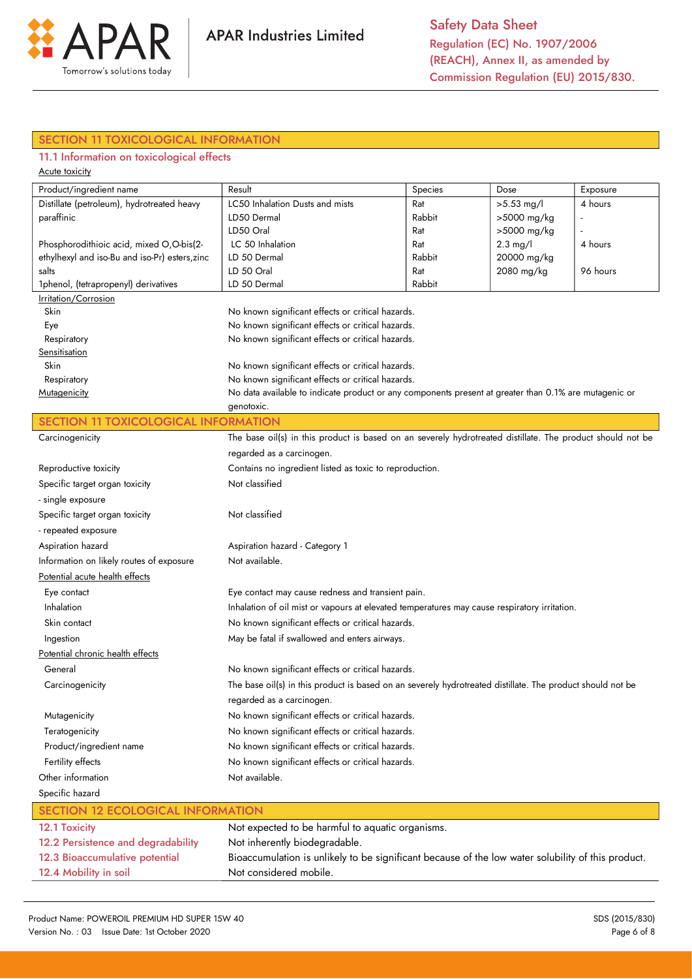

## SECTION 11 TOXICOLOGICAL INFORMATION

## 11.1 Information on toxicological effects

| Acute toxicity |  |
|----------------|--|
|                |  |

| Product/ingredient name                        | Result                                                                                                | Species | Dose               | Exposure |
|------------------------------------------------|-------------------------------------------------------------------------------------------------------|---------|--------------------|----------|
| Distillate (petroleum), hydrotreated heavy     | LC50 Inhalation Dusts and mists                                                                       | Rat     | $>5.53$ mg/l       | 4 hours  |
| paraffinic                                     | LD50 Dermal                                                                                           | Rabbit  | >5000 mg/kg        |          |
|                                                | LD50 Oral                                                                                             | Rat     | >5000 mg/kg        |          |
| Phosphorodithioic acid, mixed O,O-bis(2-       | LC 50 Inhalation                                                                                      | Rat     | $2.3 \text{ mg/l}$ | 4 hours  |
| ethylhexyl and iso-Bu and iso-Pr) esters, zinc | LD 50 Dermal                                                                                          | Rabbit  | 20000 mg/kg        |          |
| salts                                          | LD 50 Oral                                                                                            | Rat     | 2080 mg/kg         | 96 hours |
| 1phenol, (tetrapropenyl) derivatives           | LD 50 Dermal                                                                                          | Rabbit  |                    |          |
| Irritation/Corrosion                           |                                                                                                       |         |                    |          |
| Skin                                           | No known significant effects or critical hazards.                                                     |         |                    |          |
| Eye                                            | No known significant effects or critical hazards.                                                     |         |                    |          |
| Respiratory                                    | No known significant effects or critical hazards.                                                     |         |                    |          |
| Sensitisation                                  |                                                                                                       |         |                    |          |
| Skin                                           | No known significant effects or critical hazards.                                                     |         |                    |          |
| Respiratory                                    | No known significant effects or critical hazards.                                                     |         |                    |          |
| Mutagenicity                                   | No data available to indicate product or any components present at greater than 0.1% are mutagenic or |         |                    |          |
|                                                | genotoxic.                                                                                            |         |                    |          |

### SECTION 11 TOXICOLOGICAL INFORMATION

| Carcinogenicity                          | The base oil(s) in this product is based on an severely hydrotreated distillate. The product should not be |  |  |
|------------------------------------------|------------------------------------------------------------------------------------------------------------|--|--|
|                                          | regarded as a carcinogen.                                                                                  |  |  |
| Reproductive toxicity                    | Contains no ingredient listed as toxic to reproduction.                                                    |  |  |
| Specific target organ toxicity           | Not classified                                                                                             |  |  |
| - single exposure                        |                                                                                                            |  |  |
| Specific target organ toxicity           | Not classified                                                                                             |  |  |
| - repeated exposure                      |                                                                                                            |  |  |
| Aspiration hazard                        | Aspiration hazard - Category 1                                                                             |  |  |
| Information on likely routes of exposure | Not available.                                                                                             |  |  |
| Potential acute health effects           |                                                                                                            |  |  |
| Eye contact                              | Eye contact may cause redness and transient pain.                                                          |  |  |
| Inhalation                               | Inhalation of oil mist or vapours at elevated temperatures may cause respiratory irritation.               |  |  |
| Skin contact                             | No known significant effects or critical hazards.                                                          |  |  |
| Ingestion                                | May be fatal if swallowed and enters airways.                                                              |  |  |
| Potential chronic health effects         |                                                                                                            |  |  |
| General                                  | No known significant effects or critical hazards.                                                          |  |  |
| Carcinogenicity                          | The base oil(s) in this product is based on an severely hydrotreated distillate. The product should not be |  |  |
|                                          | regarded as a carcinogen.                                                                                  |  |  |
| Mutagenicity                             | No known significant effects or critical hazards.                                                          |  |  |
| Teratogenicity                           | No known significant effects or critical hazards.                                                          |  |  |
| Product/ingredient name                  | No known significant effects or critical hazards.                                                          |  |  |
| Fertility effects                        | No known significant effects or critical hazards.                                                          |  |  |
| Other information                        | Not available.                                                                                             |  |  |
| Specific hazard                          |                                                                                                            |  |  |
| <b>SECTION 12 ECOLOGICAL INFORMATION</b> |                                                                                                            |  |  |
| 12.1 Toxicity                            | Not expected to be harmful to aquatic organisms.                                                           |  |  |
| 12.2 Persistence and degradability       | Not inherently biodegradable.                                                                              |  |  |

| 12.2 Persistence and degradability | Not inherently biodegradable.                                                                      |
|------------------------------------|----------------------------------------------------------------------------------------------------|
| 12.3 Bioaccumulative potential     | Bioaccumulation is unlikely to be significant because of the low water solubility of this product. |
| 12.4 Mobility in soil              | Not considered mobile.                                                                             |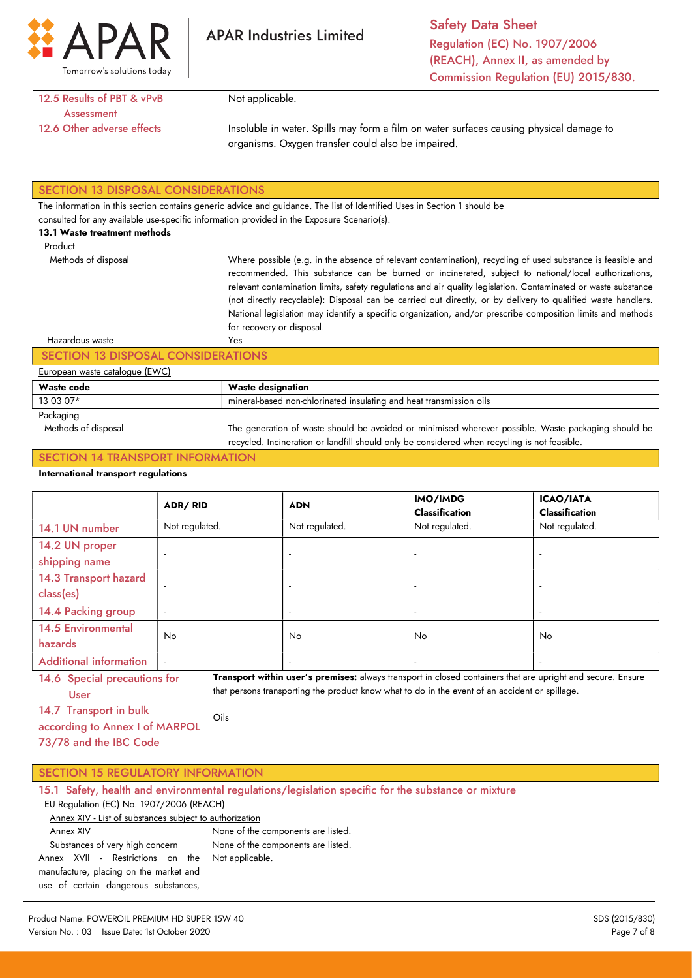

Safety Data Sheet Regulation (EC) No. 1907/2006 (REACH), Annex II, as amended by Commission Regulation (EU) 2015/830.

12.5 Results of PBT & vPvB **Assessment** 12.6 Other adverse effects

Not applicable.

Insoluble in water. Spills may form a film on water surfaces causing physical damage to organisms. Oxygen transfer could also be impaired.

### SECTION 13 DISPOSAL CONSIDERATIONS

The information in this section contains generic advice and guidance. The list of Identified Uses in Section 1 should be

consulted for any available use-specific information provided in the Exposure Scenario(s).

### 13.1 Waste treatment methods

Methods of disposal

Product

Where possible (e.g. in the absence of relevant contamination), recycling of used substance is feasible and recommended. This substance can be burned or incinerated, subject to national/local authorizations, relevant contamination limits, safety regulations and air quality legislation. Contaminated or waste substance (not directly recyclable): Disposal can be carried out directly, or by delivery to qualified waste handlers. National legislation may identify a specific organization, and/or prescribe composition limits and methods for recovery or disposal. Yes

## Hazardous waste

## SECTION 13 DISPOSAL CONSIDERATIONS

|  | European waste catalogue (EWC) |  |
|--|--------------------------------|--|
|  |                                |  |

| Wash<br>code | designation :                                                                                  |
|--------------|------------------------------------------------------------------------------------------------|
| 13 03 07*    | ' insulating and<br>l non-chlorinated<br>' fransmission<br>mineral-L<br>-based<br>oils<br>heat |
| $\sim$       |                                                                                                |

#### Packaging

 Methods of disposal The generation of waste should be avoided or minimised wherever possible. Waste packaging should be recycled. Incineration or landfill should only be considered when recycling is not feasible.

### SECTION 14 TRANSPORT INFORMATION

### International transport regulations

|                                      | <b>ADR/RID</b>           | <b>ADN</b>               | IMO/IMDG<br><b>Classification</b> | <b>ICAO/IATA</b><br><b>Classification</b> |
|--------------------------------------|--------------------------|--------------------------|-----------------------------------|-------------------------------------------|
| 14.1 UN number                       | Not regulated.           | Not regulated.           | Not regulated.                    | Not regulated.                            |
| 14.2 UN proper<br>shipping name      | $\overline{\phantom{a}}$ | $\overline{\phantom{a}}$ |                                   | $\overline{\phantom{a}}$                  |
| 14.3 Transport hazard<br>class(es)   | $\overline{a}$           |                          |                                   | $\overline{\phantom{a}}$                  |
| 14.4 Packing group                   | $\overline{\phantom{a}}$ | $\overline{\phantom{a}}$ |                                   |                                           |
| <b>14.5 Environmental</b><br>hazards | No.                      | <b>No</b>                | No.                               | No.                                       |
| <b>Additional information</b>        |                          | $\overline{\phantom{a}}$ |                                   | $\overline{\phantom{a}}$                  |

14.6 Special precautions for User Transport within user's premises: always transport in closed containers that are upright and secure. Ensure that persons transporting the product know what to do in the event of an accident or spillage.

14.7 Transport in bulk

according to Annex I of MARPOL 73/78 and the IBC Code Oils

| <b>SECTION 15 REGULATORY INFORMATION</b> |  |
|------------------------------------------|--|
|                                          |  |

|  |  | 15.1 Safety, health and environmental regulations/legislation specific for the substance or mixture |  |  |  |  |
|--|--|-----------------------------------------------------------------------------------------------------|--|--|--|--|
|  |  | $E11$ Begulation $(EC)$ No. 1007/2006 (DEACH)                                                       |  |  |  |  |

#### EU Regulation (EC) No. 1907/2006 (REACH) Annex XIV - List of substances subject to authorization

 Annex XIV Substances of very high concern Annex XVII - Restrictions on the manufacture, placing on the market and use of certain dangerous substances, None of the components are listed. None of the components are listed. Not applicable.

Product Name: POWEROIL PREMIUM HD SUPER 15W 40 SDS (2015/830) Version No.: 03 Issue Date: 1st October 2020